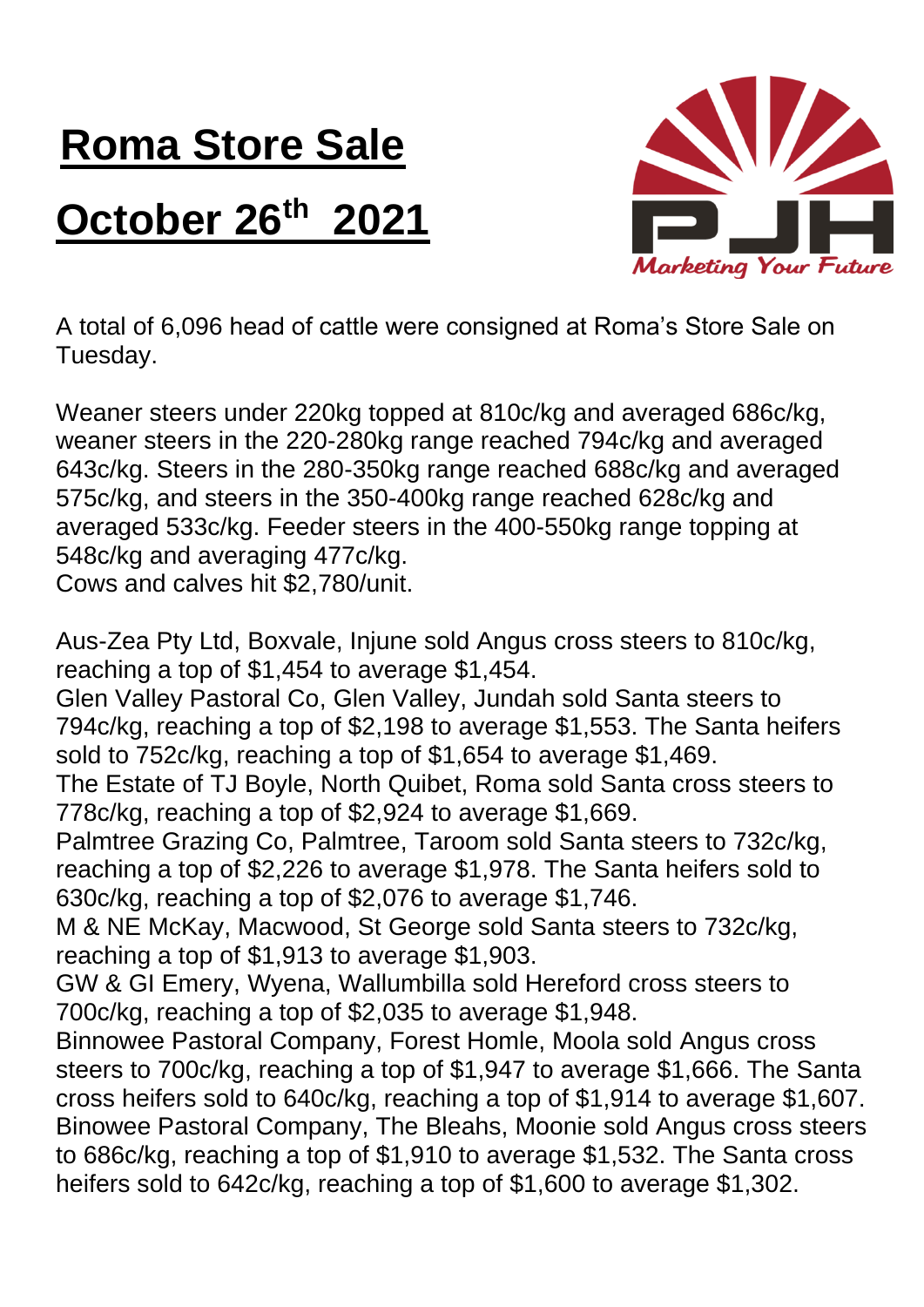## **Roma Store Sale October 26th 2021**



A total of 6,096 head of cattle were consigned at Roma's Store Sale on Tuesday.

Weaner steers under 220kg topped at 810c/kg and averaged 686c/kg, weaner steers in the 220-280kg range reached 794c/kg and averaged 643c/kg. Steers in the 280-350kg range reached 688c/kg and averaged 575c/kg, and steers in the 350-400kg range reached 628c/kg and averaged 533c/kg. Feeder steers in the 400-550kg range topping at 548c/kg and averaging 477c/kg.

Cows and calves hit \$2,780/unit.

Aus-Zea Pty Ltd, Boxvale, Injune sold Angus cross steers to 810c/kg, reaching a top of \$1,454 to average \$1,454.

Glen Valley Pastoral Co, Glen Valley, Jundah sold Santa steers to 794c/kg, reaching a top of \$2,198 to average \$1,553. The Santa heifers sold to 752c/kg, reaching a top of \$1,654 to average \$1,469.

The Estate of TJ Boyle, North Quibet, Roma sold Santa cross steers to 778c/kg, reaching a top of \$2,924 to average \$1,669.

Palmtree Grazing Co, Palmtree, Taroom sold Santa steers to 732c/kg, reaching a top of \$2,226 to average \$1,978. The Santa heifers sold to 630c/kg, reaching a top of \$2,076 to average \$1,746.

M & NE McKay, Macwood, St George sold Santa steers to 732c/kg, reaching a top of \$1,913 to average \$1,903.

GW & GI Emery, Wyena, Wallumbilla sold Hereford cross steers to 700c/kg, reaching a top of \$2,035 to average \$1,948.

Binnowee Pastoral Company, Forest Homle, Moola sold Angus cross steers to 700c/kg, reaching a top of \$1,947 to average \$1,666. The Santa cross heifers sold to 640c/kg, reaching a top of \$1,914 to average \$1,607. Binowee Pastoral Company, The Bleahs, Moonie sold Angus cross steers to 686c/kg, reaching a top of \$1,910 to average \$1,532. The Santa cross heifers sold to 642c/kg, reaching a top of \$1,600 to average \$1,302.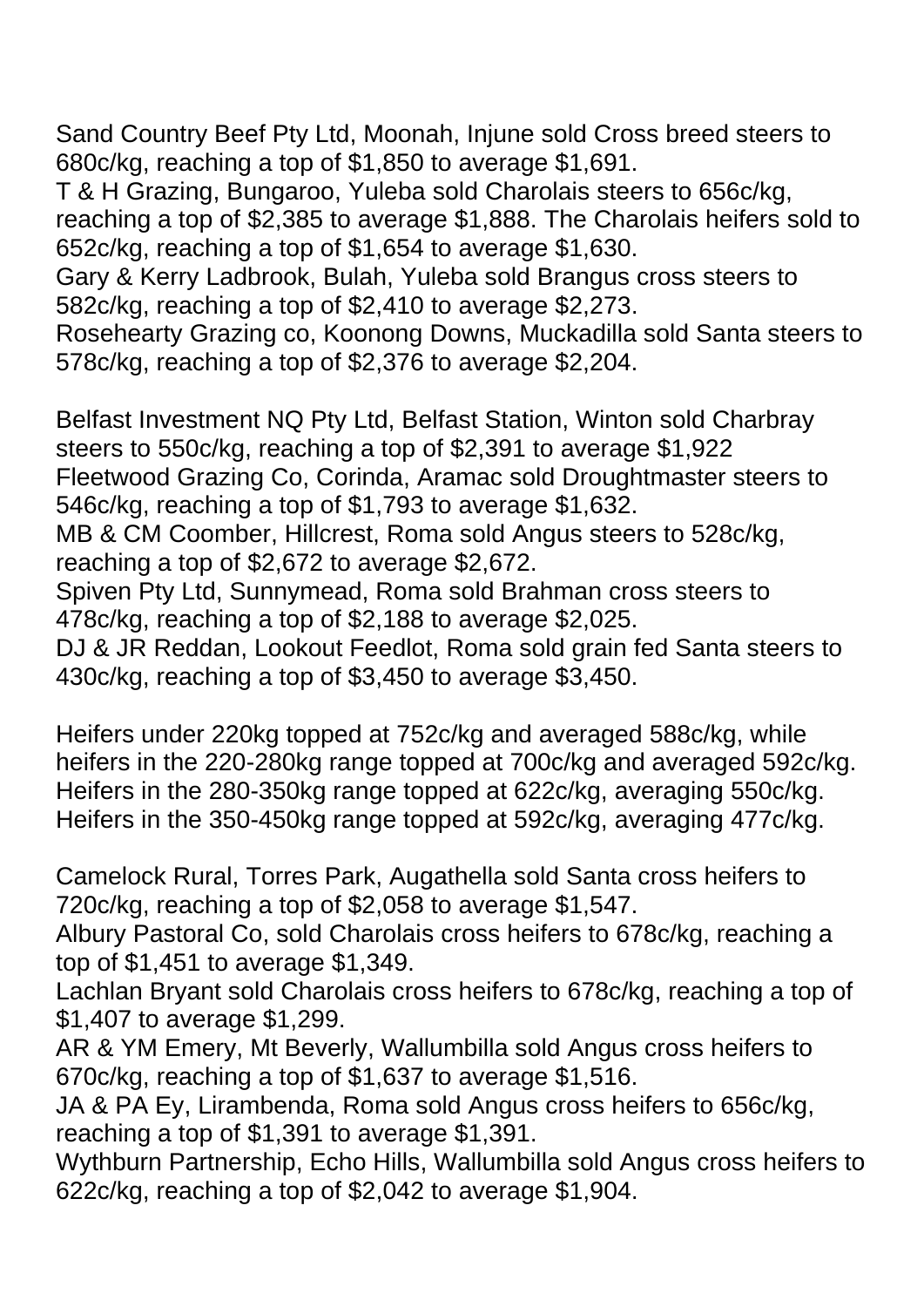Sand Country Beef Pty Ltd, Moonah, Injune sold Cross breed steers to 680c/kg, reaching a top of \$1,850 to average \$1,691.

T & H Grazing, Bungaroo, Yuleba sold Charolais steers to 656c/kg, reaching a top of \$2,385 to average \$1,888. The Charolais heifers sold to 652c/kg, reaching a top of \$1,654 to average \$1,630.

Gary & Kerry Ladbrook, Bulah, Yuleba sold Brangus cross steers to 582c/kg, reaching a top of \$2,410 to average \$2,273.

Rosehearty Grazing co, Koonong Downs, Muckadilla sold Santa steers to 578c/kg, reaching a top of \$2,376 to average \$2,204.

Belfast Investment NQ Pty Ltd, Belfast Station, Winton sold Charbray steers to 550c/kg, reaching a top of \$2,391 to average \$1,922 Fleetwood Grazing Co, Corinda, Aramac sold Droughtmaster steers to 546c/kg, reaching a top of \$1,793 to average \$1,632. MB & CM Coomber, Hillcrest, Roma sold Angus steers to 528c/kg, reaching a top of \$2,672 to average \$2,672. Spiven Pty Ltd, Sunnymead, Roma sold Brahman cross steers to 478c/kg, reaching a top of \$2,188 to average \$2,025. DJ & JR Reddan, Lookout Feedlot, Roma sold grain fed Santa steers to 430c/kg, reaching a top of \$3,450 to average \$3,450.

Heifers under 220kg topped at 752c/kg and averaged 588c/kg, while heifers in the 220-280kg range topped at 700c/kg and averaged 592c/kg. Heifers in the 280-350kg range topped at 622c/kg, averaging 550c/kg. Heifers in the 350-450kg range topped at 592c/kg, averaging 477c/kg.

Camelock Rural, Torres Park, Augathella sold Santa cross heifers to 720c/kg, reaching a top of \$2,058 to average \$1,547.

Albury Pastoral Co, sold Charolais cross heifers to 678c/kg, reaching a top of \$1,451 to average \$1,349.

Lachlan Bryant sold Charolais cross heifers to 678c/kg, reaching a top of \$1,407 to average \$1,299.

AR & YM Emery, Mt Beverly, Wallumbilla sold Angus cross heifers to 670c/kg, reaching a top of \$1,637 to average \$1,516.

JA & PA Ey, Lirambenda, Roma sold Angus cross heifers to 656c/kg, reaching a top of \$1,391 to average \$1,391.

Wythburn Partnership, Echo Hills, Wallumbilla sold Angus cross heifers to 622c/kg, reaching a top of \$2,042 to average \$1,904.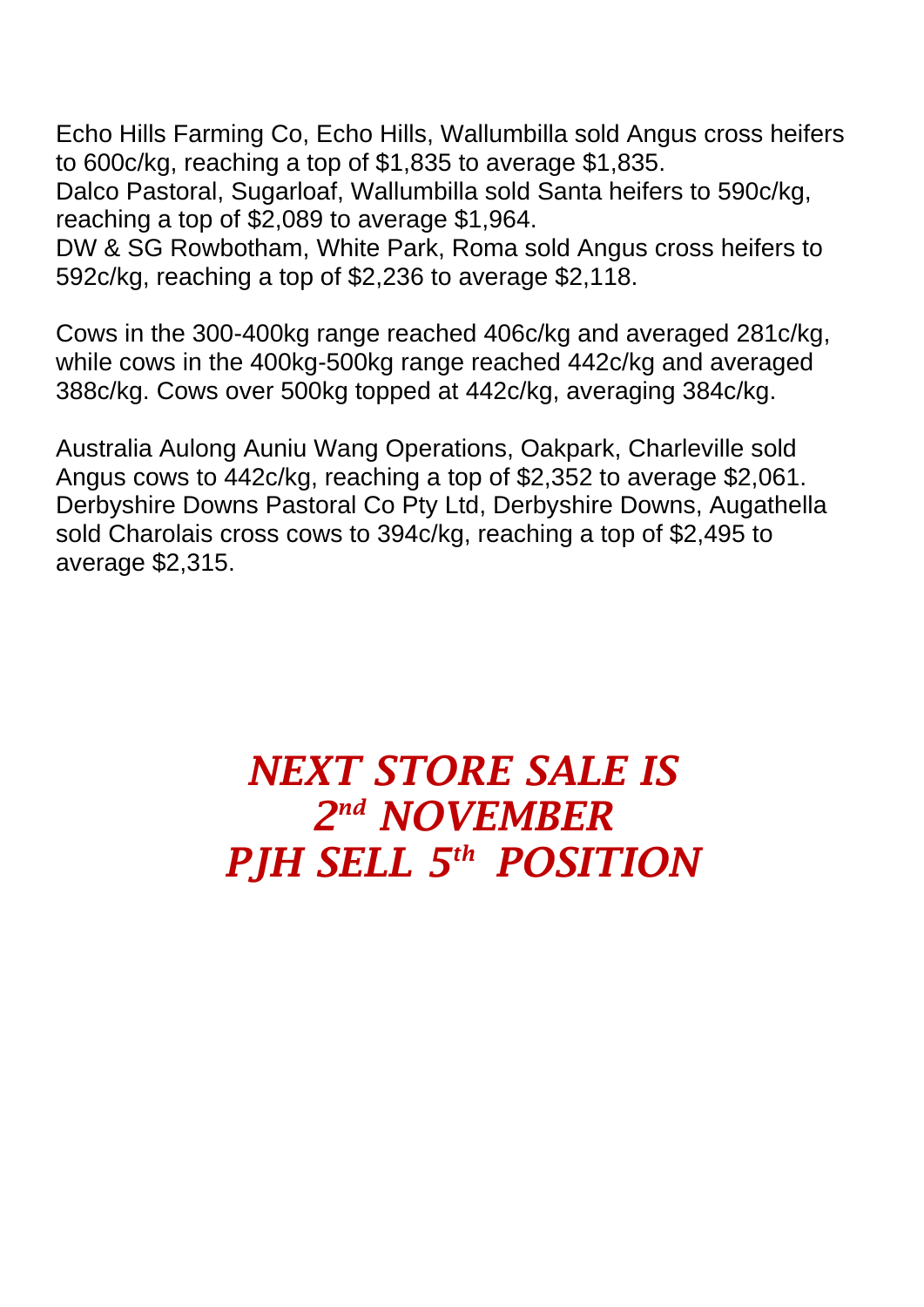Echo Hills Farming Co, Echo Hills, Wallumbilla sold Angus cross heifers to 600c/kg, reaching a top of \$1,835 to average \$1,835.

Dalco Pastoral, Sugarloaf, Wallumbilla sold Santa heifers to 590c/kg, reaching a top of \$2,089 to average \$1,964.

DW & SG Rowbotham, White Park, Roma sold Angus cross heifers to 592c/kg, reaching a top of \$2,236 to average \$2,118.

Cows in the 300-400kg range reached 406c/kg and averaged 281c/kg, while cows in the 400kg-500kg range reached 442c/kg and averaged 388c/kg. Cows over 500kg topped at 442c/kg, averaging 384c/kg.

Australia Aulong Auniu Wang Operations, Oakpark, Charleville sold Angus cows to 442c/kg, reaching a top of \$2,352 to average \$2,061. Derbyshire Downs Pastoral Co Pty Ltd, Derbyshire Downs, Augathella sold Charolais cross cows to 394c/kg, reaching a top of \$2,495 to average \$2,315.

## *NEXT STORE SALE IS 2 nd NOVEMBER PJH SELL 5 th POSITION*